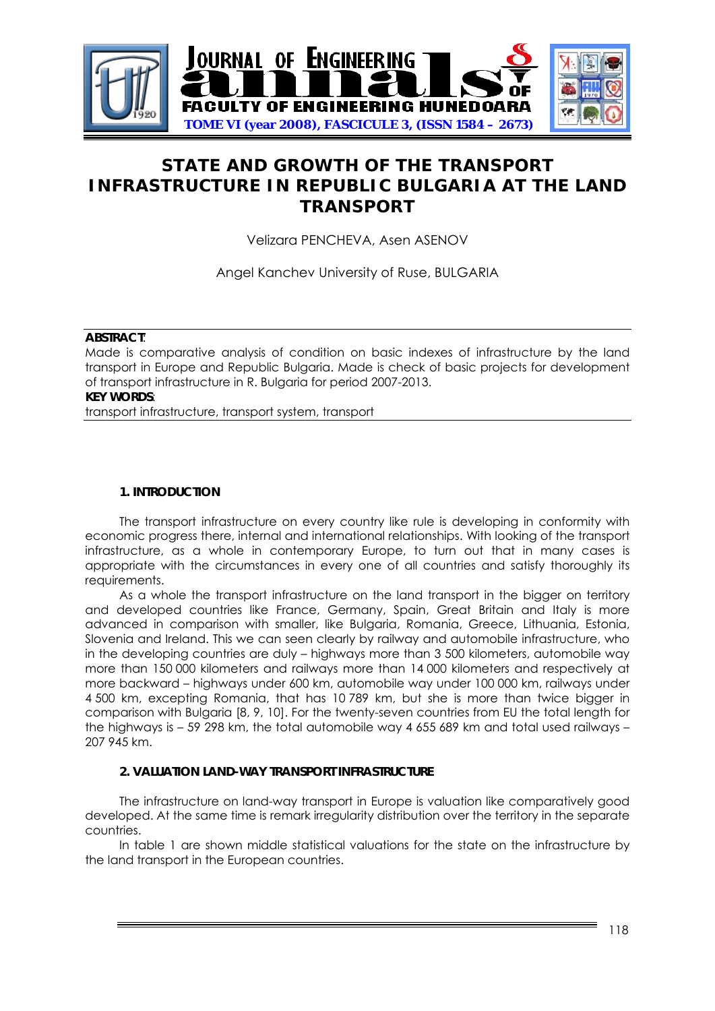

# **STATE AND GROWTH OF THE TRANSPORT INFRASTRUCTURE IN REPUBLIC BULGARIA AT THE LAND TRANSPORT**

Velizara PENCHEVA, Asen ASENOV

Angel Kanchev University of Ruse, BULGARIA

#### **ABSTRACT**:

Made is comparative analysis of condition on basic indexes of infrastructure by the land transport in Europe and Republic Bulgaria. Made is check of basic projects for development of transport infrastructure in R. Bulgaria for period 2007-2013. **KEY WORDS**:

transport infrastructure, transport system, transport

# **1. INTRODUCTION**

The transport infrastructure on every country like rule is developing in conformity with economic progress there, internal and international relationships. With looking of the transport infrastructure, as a whole in contemporary Europe, to turn out that in many cases is appropriate with the circumstances in every one of all countries and satisfy thoroughly its requirements.

As a whole the transport infrastructure on the land transport in the bigger on territory and developed countries like France, Germany, Spain, Great Britain and Italy is more advanced in comparison with smaller, like Bulgaria, Romania, Greece, Lithuania, Estonia, Slovenia and Ireland. This we can seen clearly by railway and automobile infrastructure, who in the developing countries are duly – highways more than 3 500 kilometers, automobile way more than 150 000 kilometers and railways more than 14 000 kilometers and respectively at more backward – highways under 600 km, automobile way under 100 000 km, railways under 4 500 km, excepting Romania, that has 10 789 km, but she is more than twice bigger in comparison with Bulgaria [8, 9, 10]. For the twenty-seven countries from EU the total length for the highways is – 59 298 km, the total automobile way 4 655 689 km and total used railways – 207 945 km.

### **2. VALUATION LAND-WAY TRANSPORT INFRASTRUCTURE**

The infrastructure on land-way transport in Europe is valuation like comparatively good developed. At the same time is remark irregularity distribution over the territory in the separate countries.

In table 1 are shown middle statistical valuations for the state on the infrastructure by the land transport in the European countries.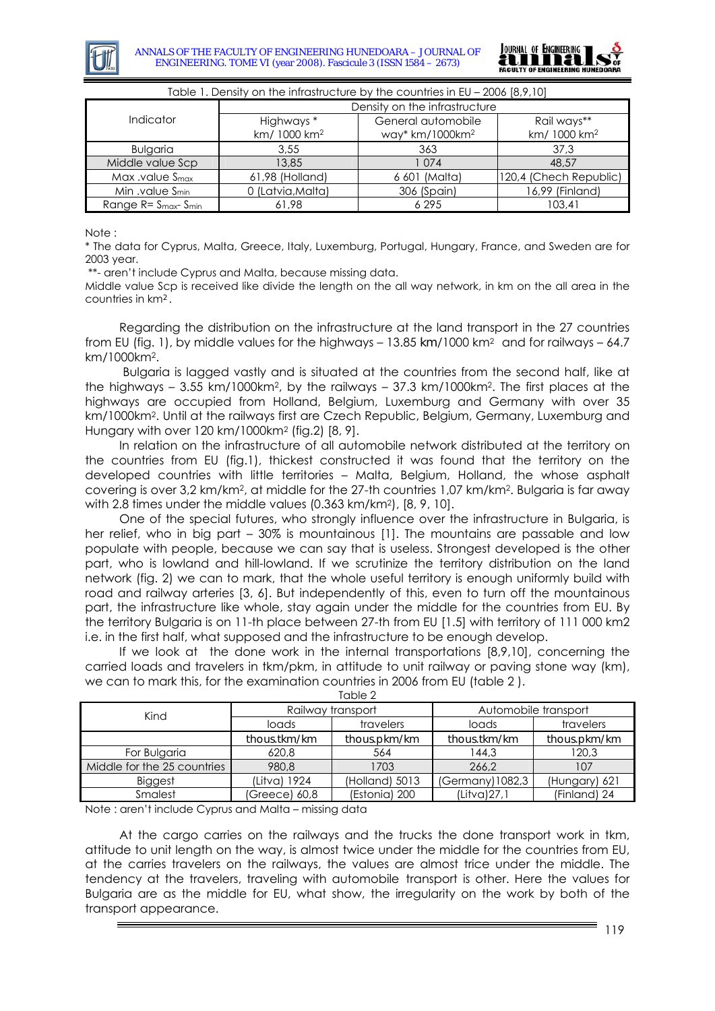



| TODIE T. DENSITY ON THE INITIATIVE LIVE BY THE COUNTIES IN EV – 2006 18,9, TV1 |                                        |                                                   |                                         |  |  |  |
|--------------------------------------------------------------------------------|----------------------------------------|---------------------------------------------------|-----------------------------------------|--|--|--|
|                                                                                | Density on the infrastructure          |                                                   |                                         |  |  |  |
| Indicator                                                                      | Highways *<br>km/ 1000 km <sup>2</sup> | General automobile<br>way* km/1000km <sup>2</sup> | Rail ways**<br>km/ 1000 km <sup>2</sup> |  |  |  |
| <b>Bulaaria</b>                                                                | 3.55                                   | 363                                               | 37.3                                    |  |  |  |
| Middle value Scp                                                               | 13,85                                  | 1074                                              | 48,57                                   |  |  |  |
| Max $.$ value $Smax$                                                           | 61,98 (Holland)                        | 6 601 (Malta)                                     | 120,4 (Chech Republic)                  |  |  |  |
| Min .value S <sub>min</sub>                                                    | 0 (Latvia, Malta)                      | 306 (Spain)                                       | 16,99 (Finland)                         |  |  |  |
| Range $R = Smax - Smin$                                                        | 61,98                                  | 6 2 9 5                                           | 103,41                                  |  |  |  |

 $T_{\rm e}$  ble 1. Density on the infrastructure by the countries in EU, 2006 [8,0,10]

Note :

\* The data for Cyprus, Malta, Greece, Italy, Luxemburg, Portugal, Hungary, France, and Sweden are for 2003 year.

\*\*- aren't include Cyprus and Malta, because missing data.

Middle value Sср is received like divide the length on the all way network, in km on the all area in the countries in km*<sup>2</sup>*.

Regarding the distribution on the infrastructure at the land transport in the 27 countries from EU (fig. 1), by middle values for the highways – 13.85 *km*/1000 km2 and for railways – 64.7 km/1000km2.

Bulgaria is lagged vastly and is situated at the countries from the second half, like at the highways – 3.55 km/1000km2, by the railways – 37.3 km/1000km2. The first places at the highways are occupied from Holland, Belgium, Luxemburg and Germany with over 35 km/1000km2. Until at the railways first are Czech Republic, Belgium, Germany, Luxemburg and Hungary with over 120 km/1000km2 (fig.2) [8, 9].

In relation on the infrastructure of all automobile network distributed at the territory on the countries from EU (fig.1), thickest constructed it was found that the territory on the developed countries with little territories – Malta, Belgium, Holland, the whose asphalt covering is over 3,2 km/km2, at middle for the 27-th countries 1,07 km/km2. Bulgaria is far away with 2.8 times under the middle values (0.363 km/km2), [8, 9, 10].

One of the special futures, who strongly influence over the infrastructure in Bulgaria, is her relief, who in big part – 30% is mountainous [1]. The mountains are passable and low populate with people, because we can say that is useless. Strongest developed is the other part, who is lowland and hill-lowland. If we scrutinize the territory distribution on the land network (fig. 2) we can to mark, that the whole useful territory is enough uniformly build with road and railway arteries [3, 6]. But independently of this, even to turn off the mountainous part, the infrastructure like whole, stay again under the middle for the countries from EU. By the territory Bulgaria is on 11-th place between 27-th from EU [1.5] with territory of 111 000 km2 i.e. in the first half, what supposed and the infrastructure to be enough develop.

If we look at the done work in the internal transportations [8,9,10], concerning the carried loads and travelers in tkm/pkm, in attitude to unit railway or paving stone way (km), we can to mark this, for the examination countries in 2006 from EU (table 2 ).  $T<sub>Q</sub>h<sub>Q</sub>$ 

| IUNIT Z                     |                   |                |                      |               |  |  |  |
|-----------------------------|-------------------|----------------|----------------------|---------------|--|--|--|
| Kind                        | Railway transport |                | Automobile transport |               |  |  |  |
|                             | loads             | travelers      | loads                | travelers     |  |  |  |
|                             | thous.tkm/km      | thous.pkm/km   | thous.tkm/km         | thous.pkm/km  |  |  |  |
| For Bulgaria                | 620.8             | 564            | 144.3                | 120,3         |  |  |  |
| Middle for the 25 countries | 980.8             | 1703           | 266.2                | 107           |  |  |  |
| <b>Biggest</b>              | (Litva) 1924      | (Holland) 5013 | (Germany) 1082,3     | (Hungary) 621 |  |  |  |
| Smalest                     | (Greece) 60,8     | (Estonia) 200  | (Litva)27.1          | (Finland) 24  |  |  |  |

Note : aren't include Cyprus and Malta – missing data

At the cargo carries on the railways and the trucks the done transport work in tkm, attitude to unit length on the way, is almost twice under the middle for the countries from EU, at the carries travelers on the railways, the values are almost trice under the middle. The tendency at the travelers, traveling with automobile transport is other. Here the values for Bulgaria are as the middle for EU, what show, the irregularity on the work by both of the transport appearance.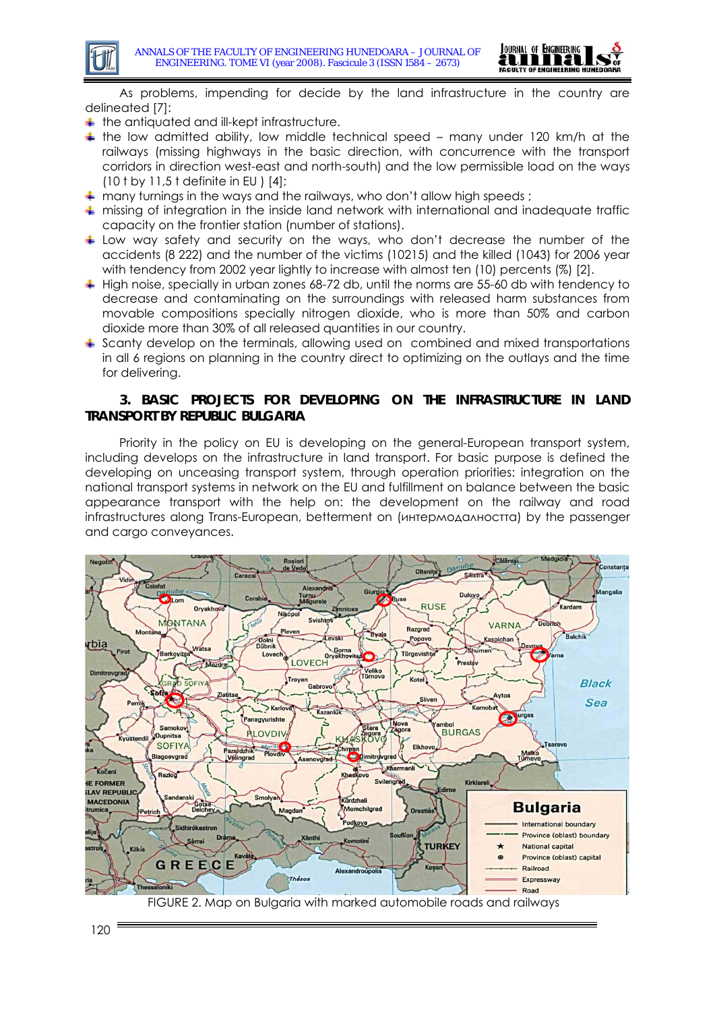

As problems, impending for decide by the land infrastructure in the country are delineated [7]:

- $+$  the antiquated and ill-kept infrastructure.
- $\pm$  the low admitted ability, low middle technical speed many under 120 km/h at the railways (missing highways in the basic direction, with concurrence with the transport corridors in direction west-east and north-south) and the low permissible load on the ways (10 t by 11,5 t definite in EU ) [4];
- $\div$  many turnings in the ways and the railways, who don't allow high speeds :
- missing of integration in the inside land network with international and inadequate traffic capacity on the frontier station (number of stations).
- $\pm$  Low way safety and security on the ways, who don't decrease the number of the accidents (8 222) and the number of the victims (10215) and the killed (1043) for 2006 year with tendency from 2002 year lightly to increase with almost ten (10) percents (%) [2].
- High noise, specially in urban zones 68-72 db, until the norms are 55-60 db with tendency to decrease and contaminating on the surroundings with released harm substances from movable compositions specially nitrogen dioxide, who is more than 50% and carbon dioxide more than 30% of all released quantities in our country.
- $\ddot{}$  Scanty develop on the terminals, allowing used on combined and mixed transportations in all 6 regions on planning in the country direct to optimizing on the outlays and the time for delivering.

## **3. BASIC PROJECTS FOR DEVELOPING ON THE INFRASTRUCTURE IN LAND TRANSPORT BY REPUBLIC BULGARIA**

Priority in the policy on EU is developing on the general-European transport system, including develops on the infrastructure in land transport. For basic purpose is defined the developing on unceasing transport system, through operation priorities: integration on the national transport systems in network on the EU and fulfillment on balance between the basic appearance transport with the help on: the development on the railway and road infrastructures along Trans-European, betterment on (интермодалността) by the passenger and cargo conveyances.

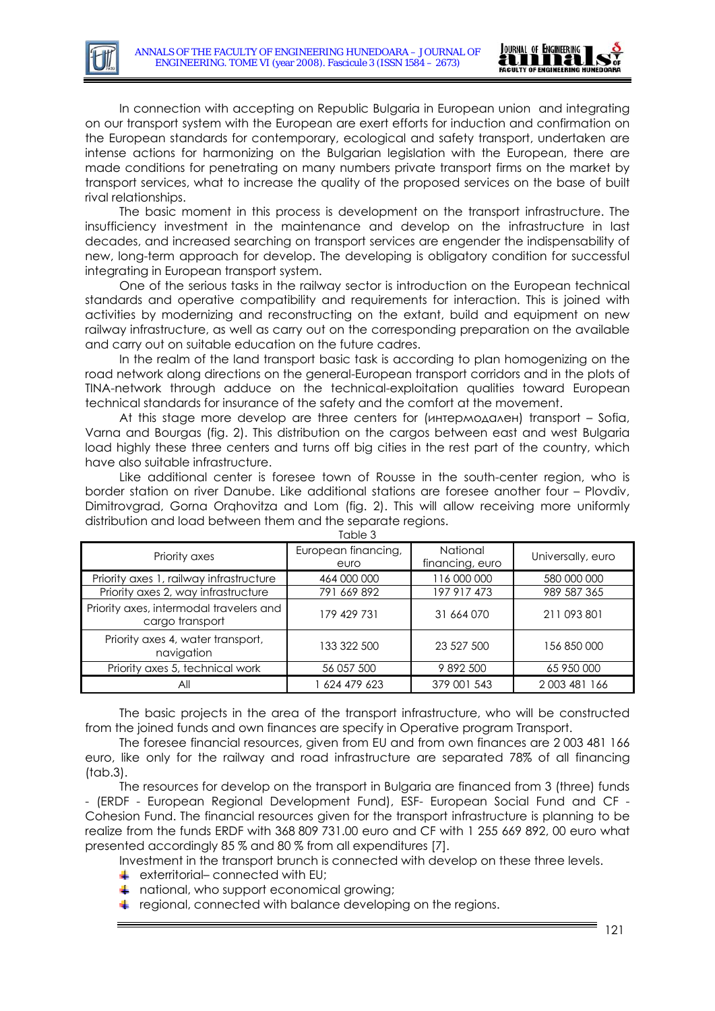

In connection with accepting on Republic Bulgaria in European union and integrating on our transport system with the European are exert efforts for induction and confirmation on the European standards for contemporary, ecological and safety transport, undertaken are intense actions for harmonizing on the Bulgarian legislation with the European, there are made conditions for penetrating on many numbers private transport firms on the market by transport services, what to increase the quality of the proposed services on the base of built rival relationships.

The basic moment in this process is development on the transport infrastructure. The insufficiency investment in the maintenance and develop on the infrastructure in last decades, and increased searching on transport services are engender the indispensability of new, long-term approach for develop. The developing is obligatory condition for successful integrating in European transport system.

One of the serious tasks in the railway sector is introduction on the European technical standards and operative compatibility and requirements for interaction. This is joined with activities by modernizing and reconstructing on the extant, build and equipment on new railway infrastructure, as well as carry out on the corresponding preparation on the available and carry out on suitable education on the future cadres.

In the realm of the land transport basic task is according to plan homogenizing on the road network along directions on the general-European transport corridors and in the plots of TINA-network through adduce on the technical-exploitation qualities toward European technical standards for insurance of the safety and the comfort at the movement.

At this stage more develop are three centers for (интермодален) transport – Sofia, Varna and Bourgas (fig. 2). This distribution on the cargos between east and west Bulgaria load highly these three centers and turns off big cities in the rest part of the country, which have also suitable infrastructure.

Like additional center is foresee town of Rousse in the south-center region, who is border station on river Danube. Like additional stations are foresee another four – Plovdiv, Dimitrovgrad, Gorna Orqhovitza and Lom (fig. 2). This will allow receiving more uniformly distribution and load between them and the separate regions.

| Priority axes                                              | European financing,<br>euro | National<br>financing, euro | Universally, euro |  |  |  |
|------------------------------------------------------------|-----------------------------|-----------------------------|-------------------|--|--|--|
| Priority axes 1, railway infrastructure                    | 464 000 000                 | 116 000 000                 | 580 000 000       |  |  |  |
| Priority axes 2, way infrastructure                        | 791 669 892                 | 197 917 473                 | 989 587 365       |  |  |  |
| Priority axes, intermodal travelers and<br>cargo transport | 179 429 731                 | 31 664 070                  | 211 093 801       |  |  |  |
| Priority axes 4, water transport,<br>navigation            | 133 322 500                 | 23 527 500                  | 156 850 000       |  |  |  |
| Priority axes 5, technical work                            | 56 057 500                  | 9892500                     | 65 950 000        |  |  |  |
| Αll                                                        | 624 479 623                 | 379 001 543                 | 2003 481 166      |  |  |  |

Table 3

The basic projects in the area of the transport infrastructure, who will be constructed from the joined funds and own finances are specify in Operative program Transport.

The foresee financial resources, given from EU and from own finances are 2 003 481 166 euro, like only for the railway and road infrastructure are separated 78% of all financing (tab.3).

The resources for develop on the transport in Bulgaria are financed from 3 (three) funds - (ERDF - European Regional Development Fund), ESF- European Social Fund and CF - Cohesion Fund. The financial resources given for the transport infrastructure is planning to be realize from the funds ERDF with 368 809 731.00 euro and CF with 1 255 669 892, 00 euro what presented accordingly 85 % and 80 % from all expenditures [7].

Investment in the transport brunch is connected with develop on these three levels.

- $\div$  exterritorial– connected with EU;
- $\overline{+}$  national, who support economical growing;
- F regional, connected with balance developing on the regions.